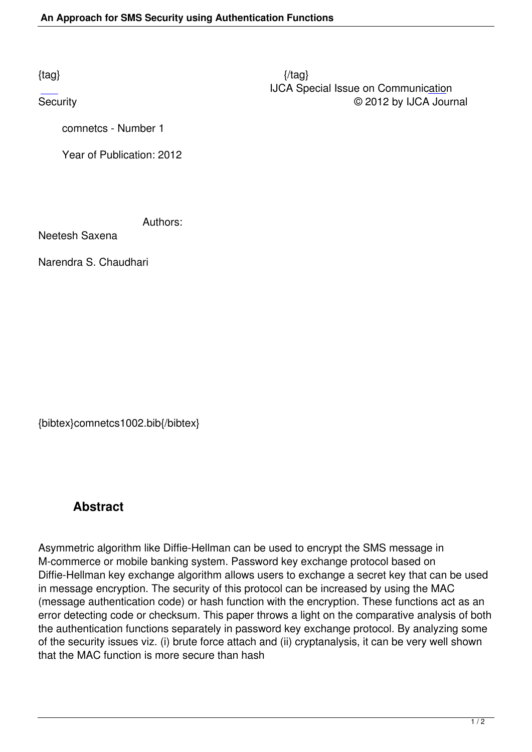comnetcs - Number 1

Year of Publication: 2012

Authors:

Neetesh Saxena

Narendra S. Chaudhari

{bibtex}comnetcs1002.bib{/bibtex}

## **Abstract**

Asymmetric algorithm like Diffie-Hellman can be used to encrypt the SMS message in M-commerce or mobile banking system. Password key exchange protocol based on Diffie-Hellman key exchange algorithm allows users to exchange a secret key that can be used in message encryption. The security of this protocol can be increased by using the MAC (message authentication code) or hash function with the encryption. These functions act as an error detecting code or checksum. This paper throws a light on the comparative analysis of both the authentication functions separately in password key exchange protocol. By analyzing some of the security issues viz. (i) brute force attach and (ii) cryptanalysis, it can be very well shown that the MAC function is more secure than hash